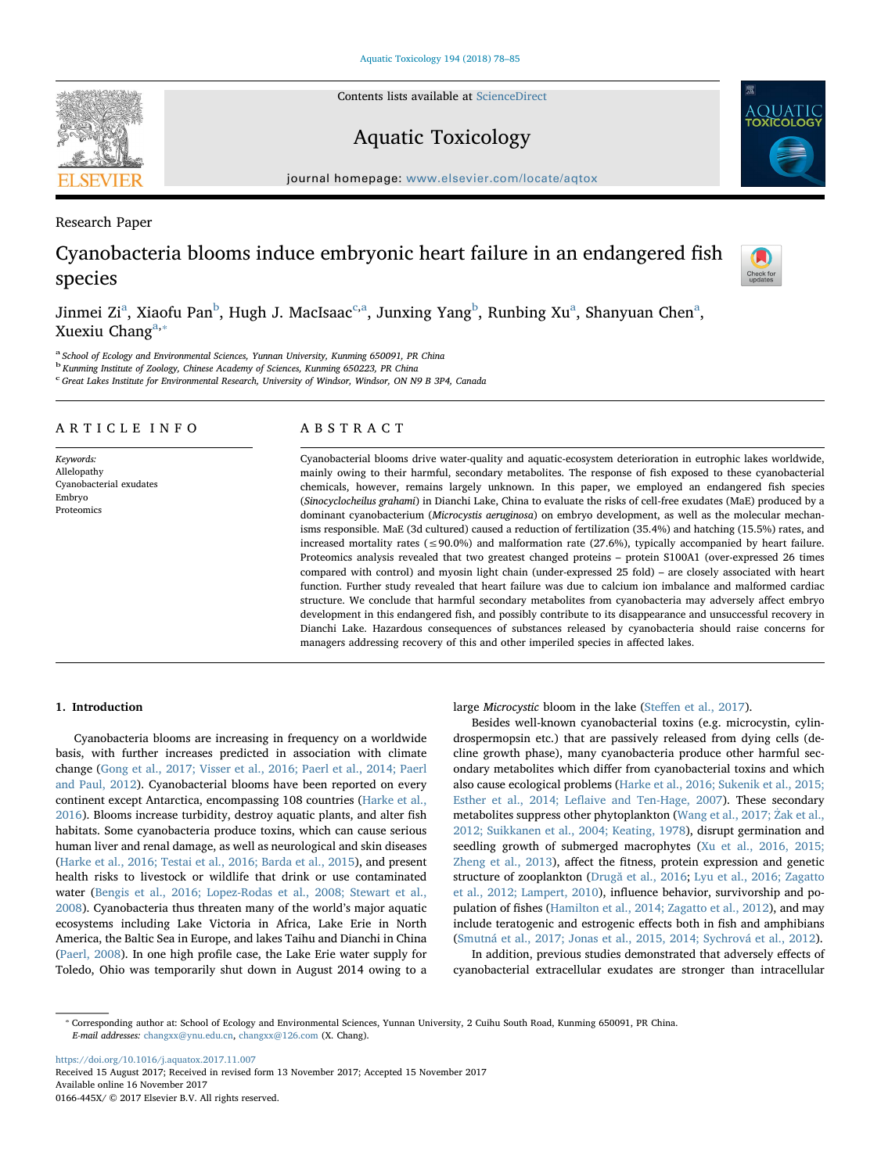Contents lists available at [ScienceDirect](http://www.sciencedirect.com/science/journal/0166445X)

# Aquatic Toxicology

journal homepage: [www.elsevier.com/locate/aqtox](https://www.elsevier.com/locate/aqtox)

Research Paper

# Cyanobacteria blooms induce embryonic heart failure in an endangered fish species

Jinmei Zi<sup>[a](#page-0-0)</sup>, Xiaofu Pan<sup>[b](#page-0-1)</sup>, Hugh J. Ma[c](#page-0-2)Isaac<sup>e[,a](#page-0-0)</sup>, Junxing Yang<sup>b</sup>, Runbing Xu<sup>a</sup>, Shanyuan Chen<sup>a</sup>, Xuexiu Ch[a](#page-0-0)ng $a,*$ 

<span id="page-0-0"></span><sup>a</sup> School of Ecology and Environmental Sciences, Yunnan University, Kunming 650091, PR China

<span id="page-0-1"></span><sup>b</sup> Kunming Institute of Zoology, Chinese Academy of Sciences, Kunming 650223, PR China

<span id="page-0-2"></span><sup>c</sup> Great Lakes Institute for Environmental Research, University of Windsor, Windsor, ON N9 B 3P4, Canada

# ARTICLE INFO

Keywords: Allelopathy Cyanobacterial exudates Embryo Proteomics

# ABSTRACT

Cyanobacterial blooms drive water-quality and aquatic-ecosystem deterioration in eutrophic lakes worldwide, mainly owing to their harmful, secondary metabolites. The response of fish exposed to these cyanobacterial chemicals, however, remains largely unknown. In this paper, we employed an endangered fish species (Sinocyclocheilus grahami) in Dianchi Lake, China to evaluate the risks of cell-free exudates (MaE) produced by a dominant cyanobacterium (Microcystis aeruginosa) on embryo development, as well as the molecular mechanisms responsible. MaE (3d cultured) caused a reduction of fertilization (35.4%) and hatching (15.5%) rates, and increased mortality rates ( $\leq 90.0\%$ ) and malformation rate (27.6%), typically accompanied by heart failure. Proteomics analysis revealed that two greatest changed proteins – protein S100A1 (over-expressed 26 times compared with control) and myosin light chain (under-expressed 25 fold) – are closely associated with heart function. Further study revealed that heart failure was due to calcium ion imbalance and malformed cardiac structure. We conclude that harmful secondary metabolites from cyanobacteria may adversely affect embryo development in this endangered fish, and possibly contribute to its disappearance and unsuccessful recovery in Dianchi Lake. Hazardous consequences of substances released by cyanobacteria should raise concerns for managers addressing recovery of this and other imperiled species in affected lakes.

## 1. Introduction

Cyanobacteria blooms are increasing in frequency on a worldwide basis, with further increases predicted in association with climate change [\(Gong et al., 2017; Visser et al., 2016; Paerl et al., 2014; Paerl](#page-7-0) [and Paul, 2012](#page-7-0)). Cyanobacterial blooms have been reported on every continent except Antarctica, encompassing 108 countries [\(Harke et al.,](#page-7-1) [2016\)](#page-7-1). Blooms increase turbidity, destroy aquatic plants, and alter fish habitats. Some cyanobacteria produce toxins, which can cause serious human liver and renal damage, as well as neurological and skin diseases ([Harke et al., 2016; Testai et al., 2016; Barda et al., 2015\)](#page-7-1), and present health risks to livestock or wildlife that drink or use contaminated water [\(Bengis et al., 2016; Lopez-Rodas et al., 2008; Stewart et al.,](#page-7-2) [2008\)](#page-7-2). Cyanobacteria thus threaten many of the world's major aquatic ecosystems including Lake Victoria in Africa, Lake Erie in North America, the Baltic Sea in Europe, and lakes Taihu and Dianchi in China ([Paerl, 2008\)](#page-7-3). In one high profile case, the Lake Erie water supply for Toledo, Ohio was temporarily shut down in August 2014 owing to a

large Microcystic bloom in the lake (Steff[en et al., 2017\)](#page-7-4).

Besides well-known cyanobacterial toxins (e.g. microcystin, cylindrospermopsin etc.) that are passively released from dying cells (decline growth phase), many cyanobacteria produce other harmful secondary metabolites which differ from cyanobacterial toxins and which also cause ecological problems ([Harke et al., 2016; Sukenik et al., 2015;](#page-7-1) Esther et al., 2014; Lefl[aive and Ten-Hage, 2007\)](#page-7-1). These secondary metabolites suppress other phytoplankton [\(Wang et al., 2017;](#page-7-5) Żak et al., [2012; Suikkanen et al., 2004; Keating, 1978\)](#page-7-5), disrupt germination and seedling growth of submerged macrophytes [\(Xu et al., 2016, 2015;](#page-7-6) [Zheng et al., 2013](#page-7-6)), affect the fitness, protein expression and genetic structure of zooplankton (Drugă [et al., 2016;](#page-7-7) [Lyu et al., 2016; Zagatto](#page-7-8) [et al., 2012; Lampert, 2010\)](#page-7-8), influence behavior, survivorship and population of fishes [\(Hamilton et al., 2014; Zagatto et al., 2012](#page-7-9)), and may include teratogenic and estrogenic effects both in fish and amphibians ([Smutná et al., 2017; Jonas et al., 2015, 2014; Sychrová et al., 2012\)](#page-7-10).

In addition, previous studies demonstrated that adversely effects of cyanobacterial extracellular exudates are stronger than intracellular

<span id="page-0-3"></span>⁎ Corresponding author at: School of Ecology and Environmental Sciences, Yunnan University, 2 Cuihu South Road, Kunming 650091, PR China. E-mail addresses: [changxx@ynu.edu.cn,](mailto:changxx@ynu.edu.cn) [changxx@126.com](mailto:changxx@126.com) (X. Chang).

<https://doi.org/10.1016/j.aquatox.2017.11.007> Received 15 August 2017; Received in revised form 13 November 2017; Accepted 15 November 2017 Available online 16 November 2017 0166-445X/ © 2017 Elsevier B.V. All rights reserved.





Check for<br>updates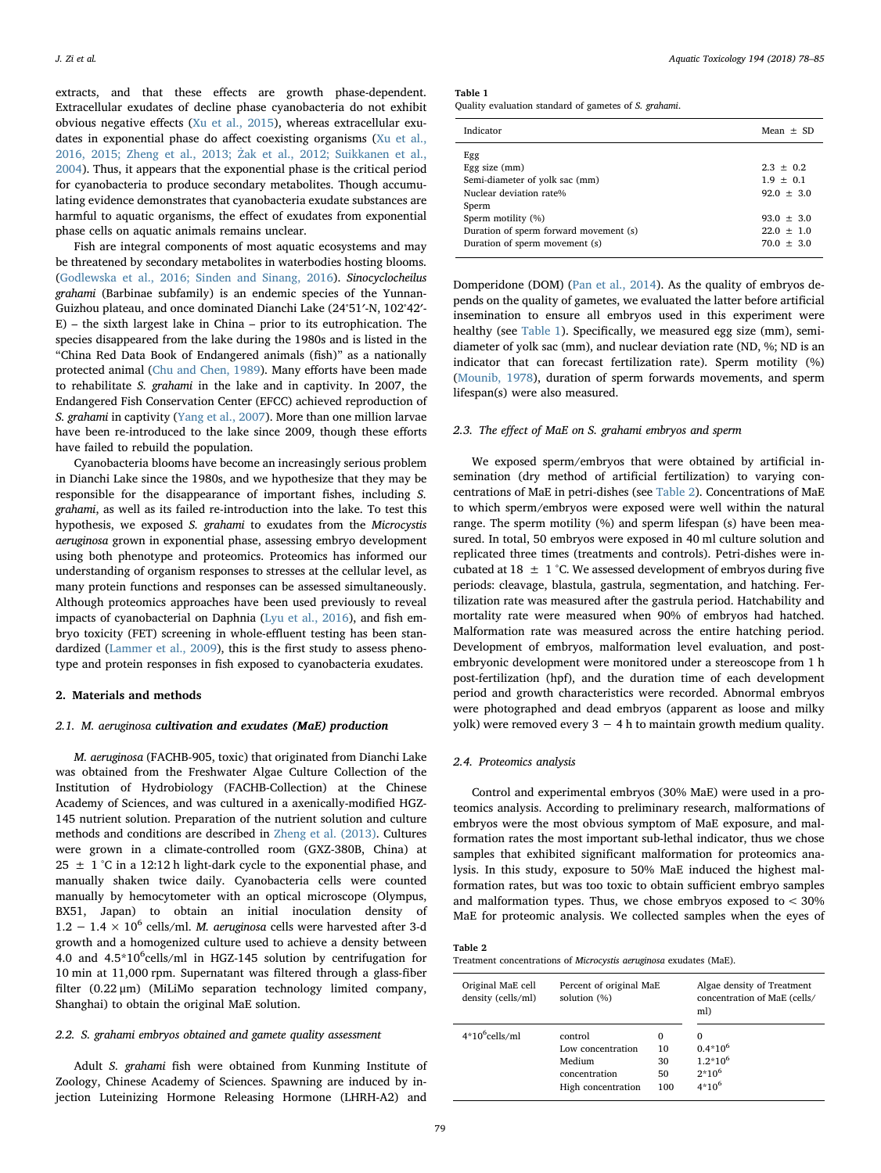extracts, and that these effects are growth phase-dependent. Extracellular exudates of decline phase cyanobacteria do not exhibit obvious negative effects [\(Xu et al., 2015](#page-7-11)), whereas extracellular exudates in exponential phase do affect coexisting organisms ([Xu et al.,](#page-7-6) 2016, 2015; Zheng et al., 2013; Ż[ak et al., 2012; Suikkanen et al.,](#page-7-6) [2004\)](#page-7-6). Thus, it appears that the exponential phase is the critical period for cyanobacteria to produce secondary metabolites. Though accumulating evidence demonstrates that cyanobacteria exudate substances are harmful to aquatic organisms, the effect of exudates from exponential phase cells on aquatic animals remains unclear.

Fish are integral components of most aquatic ecosystems and may be threatened by secondary metabolites in waterbodies hosting blooms. ([Godlewska et al., 2016; Sinden and Sinang, 2016](#page-7-12)). Sinocyclocheilus grahami (Barbinae subfamily) is an endemic species of the Yunnan-Guizhou plateau, and once dominated Dianchi Lake (24<sup>∘</sup> 51′-N, 102<sup>∘</sup> 42′- E) – the sixth largest lake in China – prior to its eutrophication. The species disappeared from the lake during the 1980s and is listed in the "China Red Data Book of Endangered animals (fish)" as a nationally protected animal [\(Chu and Chen, 1989\)](#page-7-13). Many efforts have been made to rehabilitate S. grahami in the lake and in captivity. In 2007, the Endangered Fish Conservation Center (EFCC) achieved reproduction of S. grahami in captivity [\(Yang et al., 2007](#page-7-14)). More than one million larvae have been re-introduced to the lake since 2009, though these efforts have failed to rebuild the population.

Cyanobacteria blooms have become an increasingly serious problem in Dianchi Lake since the 1980s, and we hypothesize that they may be responsible for the disappearance of important fishes, including S. grahami, as well as its failed re-introduction into the lake. To test this hypothesis, we exposed S. grahami to exudates from the Microcystis aeruginosa grown in exponential phase, assessing embryo development using both phenotype and proteomics. Proteomics has informed our understanding of organism responses to stresses at the cellular level, as many protein functions and responses can be assessed simultaneously. Although proteomics approaches have been used previously to reveal impacts of cyanobacterial on Daphnia [\(Lyu et al., 2016\)](#page-7-8), and fish embryo toxicity (FET) screening in whole-effluent testing has been standardized [\(Lammer et al., 2009\)](#page-7-15), this is the first study to assess phenotype and protein responses in fish exposed to cyanobacteria exudates.

#### 2. Materials and methods

#### 2.1. M. aeruginosa cultivation and exudates (MaE) production

M. aeruginosa (FACHB-905, toxic) that originated from Dianchi Lake was obtained from the Freshwater Algae Culture Collection of the Institution of Hydrobiology (FACHB-Collection) at the Chinese Academy of Sciences, and was cultured in a axenically-modified HGZ-145 nutrient solution. Preparation of the nutrient solution and culture methods and conditions are described in [Zheng et al. \(2013\)](#page-7-16). Cultures were grown in a climate-controlled room (GXZ-380B, China) at 25  $\pm$  1 °C in a 12:12 h light-dark cycle to the exponential phase, and manually shaken twice daily. Cyanobacteria cells were counted manually by hemocytometer with an optical microscope (Olympus, BX51, Japan) to obtain an initial inoculation density of  $1.2 - 1.4 \times 10^6$  cells/ml. M. aeruginosa cells were harvested after 3-d growth and a homogenized culture used to achieve a density between 4.0 and 4.5\*10<sup>6</sup>cells/ml in HGZ-145 solution by centrifugation for 10 min at 11,000 rpm. Supernatant was filtered through a glass-fiber filter (0.22 μm) (MiLiMo separation technology limited company, Shanghai) to obtain the original MaE solution.

#### 2.2. S. grahami embryos obtained and gamete quality assessment

Adult S. grahami fish were obtained from Kunming Institute of Zoology, Chinese Academy of Sciences. Spawning are induced by injection Luteinizing Hormone Releasing Hormone (LHRH-A2) and <span id="page-1-0"></span>Table 1

Quality evaluation standard of gametes of S. grahami.

| Indicator                                                                                      | Mean $+$ SD                                    |
|------------------------------------------------------------------------------------------------|------------------------------------------------|
| Egg<br>Egg size $(mm)$<br>Semi-diameter of yolk sac (mm)<br>Nuclear deviation rate%<br>Sperm   | $2.3 + 0.2$<br>$1.9 + 0.1$<br>$92.0 + 3.0$     |
| Sperm motility (%)<br>Duration of sperm forward movement (s)<br>Duration of sperm movement (s) | $93.0 + 3.0$<br>$22.0 \pm 1.0$<br>$70.0 + 3.0$ |

Domperidone (DOM) [\(Pan et al., 2014\)](#page-7-17). As the quality of embryos depends on the quality of gametes, we evaluated the latter before artificial insemination to ensure all embryos used in this experiment were healthy (see [Table 1\)](#page-1-0). Specifically, we measured egg size (mm), semidiameter of yolk sac (mm), and nuclear deviation rate (ND, %; ND is an indicator that can forecast fertilization rate). Sperm motility (%) ([Mounib, 1978\)](#page-7-18), duration of sperm forwards movements, and sperm lifespan(s) were also measured.

### 2.3. The effect of MaE on S. grahami embryos and sperm

We exposed sperm/embryos that were obtained by artificial insemination (dry method of artificial fertilization) to varying concentrations of MaE in petri-dishes (see [Table 2](#page-1-1)). Concentrations of MaE to which sperm/embryos were exposed were well within the natural range. The sperm motility (%) and sperm lifespan (s) have been measured. In total, 50 embryos were exposed in 40 ml culture solution and replicated three times (treatments and controls). Petri-dishes were incubated at 18  $\pm$  1 °C. We assessed development of embryos during five periods: cleavage, blastula, gastrula, segmentation, and hatching. Fertilization rate was measured after the gastrula period. Hatchability and mortality rate were measured when 90% of embryos had hatched. Malformation rate was measured across the entire hatching period. Development of embryos, malformation level evaluation, and postembryonic development were monitored under a stereoscope from 1 h post-fertilization (hpf), and the duration time of each development period and growth characteristics were recorded. Abnormal embryos were photographed and dead embryos (apparent as loose and milky yolk) were removed every  $3 - 4 h$  to maintain growth medium quality.

#### 2.4. Proteomics analysis

Control and experimental embryos (30% MaE) were used in a proteomics analysis. According to preliminary research, malformations of embryos were the most obvious symptom of MaE exposure, and malformation rates the most important sub-lethal indicator, thus we chose samples that exhibited significant malformation for proteomics analysis. In this study, exposure to 50% MaE induced the highest malformation rates, but was too toxic to obtain sufficient embryo samples and malformation types. Thus, we chose embryos exposed to  $<$  30% MaE for proteomic analysis. We collected samples when the eyes of

#### <span id="page-1-1"></span>Table 2

Treatment concentrations of Microcystis aeruginosa exudates (MaE).

| Original MaE cell<br>density (cells/ml) | Percent of original MaE<br>solution (%) |          | Algae density of Treatment<br>concentration of MaE (cells/<br>ml) |
|-----------------------------------------|-----------------------------------------|----------|-------------------------------------------------------------------|
| $4*106$ cells/ml                        | control                                 | $\Omega$ | $\Omega$                                                          |
|                                         | Low concentration                       | 10       | $0.4*10^{6}$                                                      |
|                                         | Medium                                  | 30       | $1.2*10^{6}$                                                      |
|                                         | concentration                           | 50       | $2*10^6$                                                          |
|                                         | High concentration                      | 100      | $4*10^6$                                                          |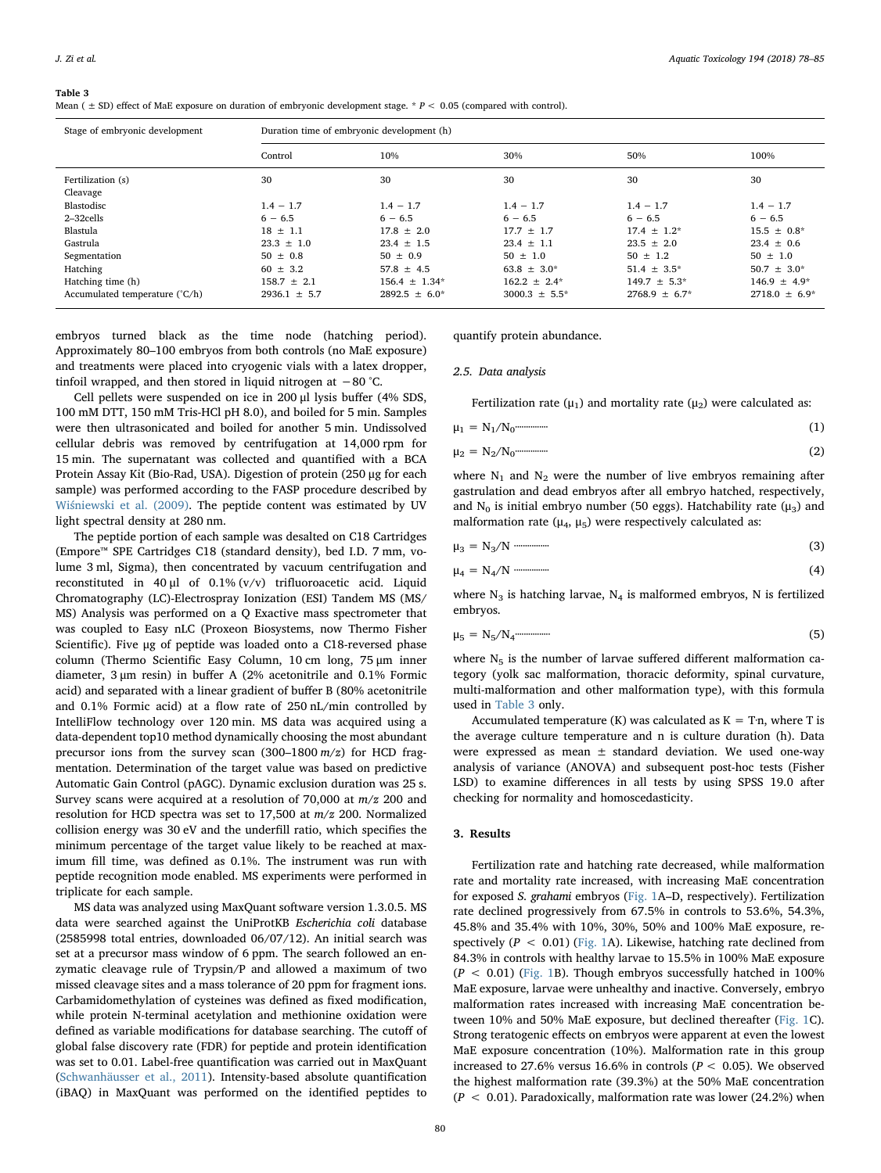#### <span id="page-2-0"></span>Table 3

Mean ( $\pm$  SD) effect of MaE exposure on duration of embryonic development stage. \*  $P < 0.05$  (compared with control).

| Stage of embryonic development | Duration time of embryonic development (h) |                    |                    |                    |                    |  |
|--------------------------------|--------------------------------------------|--------------------|--------------------|--------------------|--------------------|--|
|                                | Control                                    | 10%                | 30%                | 50%                | 100%               |  |
| Fertilization (s)              | 30                                         | 30                 | 30                 | 30                 | 30                 |  |
| Cleavage                       |                                            |                    |                    |                    |                    |  |
| Blastodisc                     | $1.4 - 1.7$                                | $1.4 - 1.7$        | $1.4 - 1.7$        | $1.4 - 1.7$        | $1.4 - 1.7$        |  |
| 2-32cells                      | $6 - 6.5$                                  | $6 - 6.5$          | $6 - 6.5$          | $6 - 6.5$          | $6 - 6.5$          |  |
| Blastula                       | $18 \pm 1.1$                               | $17.8 + 2.0$       | $17.7 + 1.7$       | $17.4 + 1.2*$      | $15.5 + 0.8*$      |  |
| Gastrula                       | $23.3 \pm 1.0$                             | $23.4 \pm 1.5$     | $23.4 \pm 1.1$     | $23.5 \pm 2.0$     | $23.4 \pm 0.6$     |  |
| Segmentation                   | $50 \pm 0.8$                               | $50 + 0.9$         | $50 \pm 1.0$       | $50 + 1.2$         | $50 + 1.0$         |  |
| Hatching                       | $60 \pm 3.2$                               | $57.8 \pm 4.5$     | $63.8 \pm 3.0^*$   | $51.4 \pm 3.5^*$   | $50.7 \pm 3.0^*$   |  |
| Hatching time (h)              | $158.7 \pm 2.1$                            | $156.4 \pm 1.34*$  | $162.2 \pm 2.4^*$  | $149.7 \pm 5.3^*$  | $146.9 + 4.9*$     |  |
| Accumulated temperature (°C/h) | $2936.1 \pm 5.7$                           | $2892.5 \pm 6.0^*$ | $3000.3 \pm 5.5^*$ | $2768.9 \pm 6.7^*$ | $2718.0 \pm 6.9^*$ |  |

embryos turned black as the time node (hatching period). Approximately 80–100 embryos from both controls (no MaE exposure) and treatments were placed into cryogenic vials with a latex dropper, tinfoil wrapped, and then stored in liquid nitrogen at −80 °C.

Cell pellets were suspended on ice in 200 μl lysis buffer (4% SDS, 100 mM DTT, 150 mM Tris-HCl pH 8.0), and boiled for 5 min. Samples were then ultrasonicated and boiled for another 5 min. Undissolved cellular debris was removed by centrifugation at 14,000 rpm for 15 min. The supernatant was collected and quantified with a BCA Protein Assay Kit (Bio-Rad, USA). Digestion of protein (250 μg for each sample) was performed according to the FASP procedure described by Wiś[niewski et al. \(2009\).](#page-7-19) The peptide content was estimated by UV light spectral density at 280 nm.

The peptide portion of each sample was desalted on C18 Cartridges (Empore™ SPE Cartridges C18 (standard density), bed I.D. 7 mm, volume 3 ml, Sigma), then concentrated by vacuum centrifugation and reconstituted in 40 μl of 0.1% (v/v) trifluoroacetic acid. Liquid Chromatography (LC)-Electrospray Ionization (ESI) Tandem MS (MS/ MS) Analysis was performed on a Q Exactive mass spectrometer that was coupled to Easy nLC (Proxeon Biosystems, now Thermo Fisher Scientific). Five μg of peptide was loaded onto a C18-reversed phase column (Thermo Scientific Easy Column, 10 cm long, 75 μm inner diameter, 3 μm resin) in buffer A (2% acetonitrile and 0.1% Formic acid) and separated with a linear gradient of buffer B (80% acetonitrile and 0.1% Formic acid) at a flow rate of 250 nL/min controlled by IntelliFlow technology over 120 min. MS data was acquired using a data-dependent top10 method dynamically choosing the most abundant precursor ions from the survey scan  $(300-1800 \, \text{m/s})$  for HCD fragmentation. Determination of the target value was based on predictive Automatic Gain Control (pAGC). Dynamic exclusion duration was 25 s. Survey scans were acquired at a resolution of 70,000 at m/z 200 and resolution for HCD spectra was set to 17,500 at m/z 200. Normalized collision energy was 30 eV and the underfill ratio, which specifies the minimum percentage of the target value likely to be reached at maximum fill time, was defined as 0.1%. The instrument was run with peptide recognition mode enabled. MS experiments were performed in triplicate for each sample.

MS data was analyzed using MaxQuant software version 1.3.0.5. MS data were searched against the UniProtKB Escherichia coli database (2585998 total entries, downloaded 06/07/12). An initial search was set at a precursor mass window of 6 ppm. The search followed an enzymatic cleavage rule of Trypsin/P and allowed a maximum of two missed cleavage sites and a mass tolerance of 20 ppm for fragment ions. Carbamidomethylation of cysteines was defined as fixed modification, while protein N-terminal acetylation and methionine oxidation were defined as variable modifications for database searching. The cutoff of global false discovery rate (FDR) for peptide and protein identification was set to 0.01. Label-free quantification was carried out in MaxQuant ([Schwanhäusser et al., 2011](#page-7-20)). Intensity-based absolute quantification (iBAQ) in MaxQuant was performed on the identified peptides to

quantify protein abundance.

### 2.5. Data analysis

Fertilization rate ( $\mu_1$ ) and mortality rate ( $\mu_2$ ) were calculated as:

$$
\mu_1 = N_1/N_0 \tag{1}
$$

$$
\mu_2 = N_2/N_0 \tag{2}
$$

where  $N_1$  and  $N_2$  were the number of live embryos remaining after gastrulation and dead embryos after all embryo hatched, respectively, and N<sub>0</sub> is initial embryo number (50 eggs). Hatchability rate ( $\mu$ <sub>3</sub>) and malformation rate ( $\mu_4$ ,  $\mu_5$ ) were respectively calculated as:

$$
\mu_3 = N_3/N
$$
 (3)

$$
\mu_4 = N_4/N
$$

where  $N_3$  is hatching larvae,  $N_4$  is malformed embryos, N is fertilized embryos.

$$
\mu_5 = N_5/N_4 \tag{5}
$$

where  $N_5$  is the number of larvae suffered different malformation category (yolk sac malformation, thoracic deformity, spinal curvature, multi-malformation and other malformation type), with this formula used in [Table 3](#page-2-0) only.

Accumulated temperature (K) was calculated as  $K = Tn$ , where T is the average culture temperature and n is culture duration (h). Data were expressed as mean  $\pm$  standard deviation. We used one-way analysis of variance (ANOVA) and subsequent post-hoc tests (Fisher LSD) to examine differences in all tests by using SPSS 19.0 after checking for normality and homoscedasticity.

## 3. Results

Fertilization rate and hatching rate decreased, while malformation rate and mortality rate increased, with increasing MaE concentration for exposed S. grahami embryos ([Fig. 1A](#page-3-0)–D, respectively). Fertilization rate declined progressively from 67.5% in controls to 53.6%, 54.3%, 45.8% and 35.4% with 10%, 30%, 50% and 100% MaE exposure, respectively ( $P < 0.01$ ) ([Fig. 1A](#page-3-0)). Likewise, hatching rate declined from 84.3% in controls with healthy larvae to 15.5% in 100% MaE exposure  $(P < 0.01)$  [\(Fig. 1B](#page-3-0)). Though embryos successfully hatched in 100% MaE exposure, larvae were unhealthy and inactive. Conversely, embryo malformation rates increased with increasing MaE concentration between 10% and 50% MaE exposure, but declined thereafter ([Fig. 1](#page-3-0)C). Strong teratogenic effects on embryos were apparent at even the lowest MaE exposure concentration (10%). Malformation rate in this group increased to 27.6% versus 16.6% in controls ( $P < 0.05$ ). We observed the highest malformation rate (39.3%) at the 50% MaE concentration  $(P < 0.01)$ . Paradoxically, malformation rate was lower (24.2%) when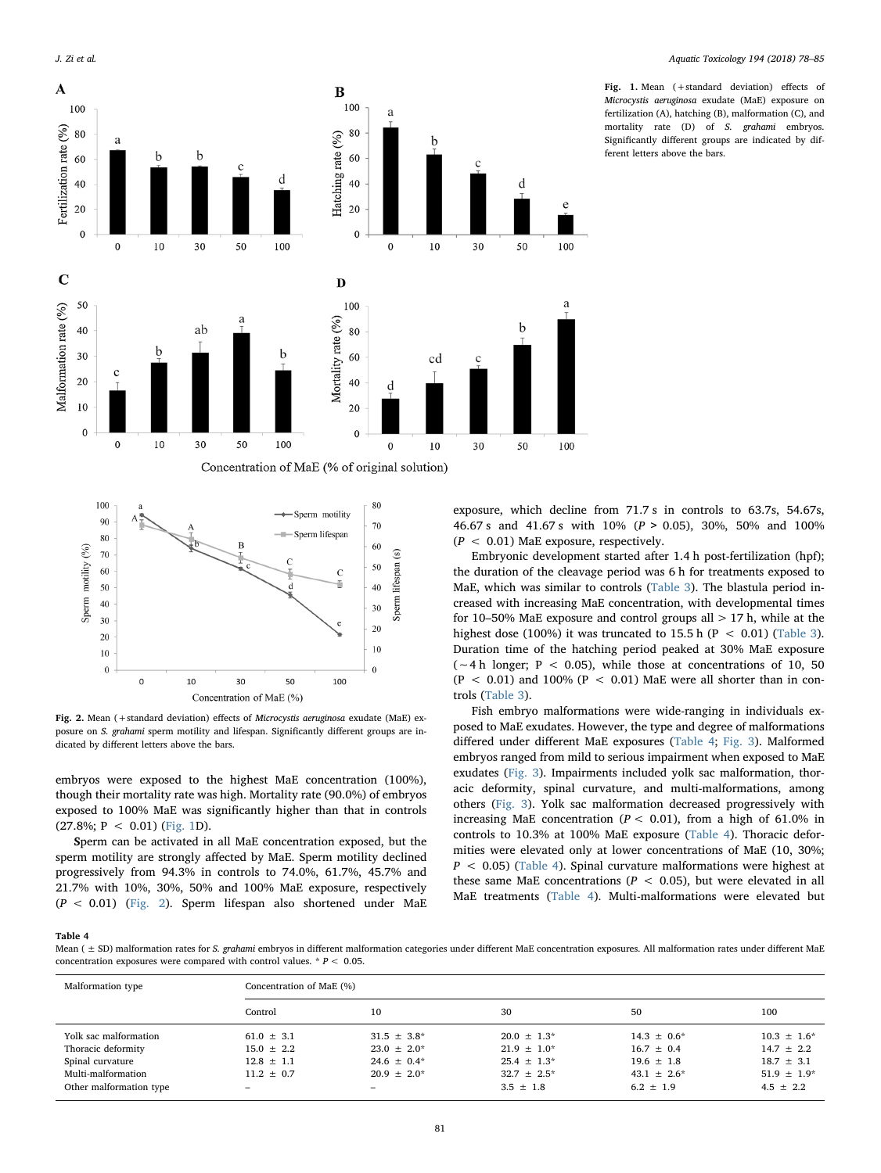<span id="page-3-0"></span>

Fig. 1. Mean (+standard deviation) effects of Microcystis aeruginosa exudate (MaE) exposure on fertilization (A), hatching (B), malformation (C), and mortality rate (D) of S. grahami embryos. Significantly different groups are indicated by different letters above the bars.

<span id="page-3-1"></span>

Fig. 2. Mean (+standard deviation) effects of Microcystis aeruginosa exudate (MaE) exposure on S. grahami sperm motility and lifespan. Significantly different groups are indicated by different letters above the bars.

embryos were exposed to the highest MaE concentration (100%), though their mortality rate was high. Mortality rate (90.0%) of embryos exposed to 100% MaE was significantly higher than that in controls  $(27.8\%; P < 0.01)$  [\(Fig. 1](#page-3-0)D).

Sperm can be activated in all MaE concentration exposed, but the sperm motility are strongly affected by MaE. Sperm motility declined progressively from 94.3% in controls to 74.0%, 61.7%, 45.7% and 21.7% with 10%, 30%, 50% and 100% MaE exposure, respectively  $(P < 0.01)$  [\(Fig. 2\)](#page-3-1). Sperm lifespan also shortened under MaE exposure, which decline from 71.7 s in controls to 63.7s, 54.67s, 46.67 s and 41.67 s with 10% (P > 0.05), 30%, 50% and 100%  $(P < 0.01)$  MaE exposure, respectively.

Embryonic development started after 1.4 h post-fertilization (hpf); the duration of the cleavage period was 6 h for treatments exposed to MaE, which was similar to controls [\(Table 3](#page-2-0)). The blastula period increased with increasing MaE concentration, with developmental times for 10–50% MaE exposure and control groups all  $> 17$  h, while at the highest dose (100%) it was truncated to 15.5 h ( $P < 0.01$ ) ([Table 3](#page-2-0)). Duration time of the hatching period peaked at 30% MaE exposure  $({\sim}4 \text{ h longer}; P < 0.05)$ , while those at concentrations of 10, 50  $(P < 0.01)$  and 100%  $(P < 0.01)$  MaE were all shorter than in controls ([Table 3\)](#page-2-0).

Fish embryo malformations were wide-ranging in individuals exposed to MaE exudates. However, the type and degree of malformations differed under different MaE exposures ([Table 4](#page-3-2); [Fig. 3](#page-4-0)). Malformed embryos ranged from mild to serious impairment when exposed to MaE exudates ([Fig. 3](#page-4-0)). Impairments included yolk sac malformation, thoracic deformity, spinal curvature, and multi-malformations, among others [\(Fig. 3\)](#page-4-0). Yolk sac malformation decreased progressively with increasing MaE concentration ( $P < 0.01$ ), from a high of 61.0% in controls to 10.3% at 100% MaE exposure [\(Table 4\)](#page-3-2). Thoracic deformities were elevated only at lower concentrations of MaE (10, 30%;  $P$  < 0.05) ([Table 4\)](#page-3-2). Spinal curvature malformations were highest at these same MaE concentrations ( $P < 0.05$ ), but were elevated in all MaE treatments ([Table 4\)](#page-3-2). Multi-malformations were elevated but

#### <span id="page-3-2"></span>Table 4

Mean (  $\pm$  SD) malformation rates for S. grahami embryos in different malformation categories under different MaE concentration exposures. All malformation rates under different MaE concentration exposures were compared with control values.  $* P < 0.05$ .

| Malformation type       | Concentration of MaE (%) |                          |                  |                  |                  |  |
|-------------------------|--------------------------|--------------------------|------------------|------------------|------------------|--|
|                         | Control                  | 10                       | 30               | 50               | 100              |  |
| Yolk sac malformation   | $61.0 \pm 3.1$           | $31.5 \pm 3.8^*$         | $20.0 \pm 1.3^*$ | $14.3 \pm 0.6^*$ | $10.3 \pm 1.6^*$ |  |
| Thoracic deformity      | $15.0 \pm 2.2$           | $23.0 \pm 2.0^*$         | $21.9 \pm 1.0^*$ | $16.7 \pm 0.4$   | $14.7 \pm 2.2$   |  |
| Spinal curvature        | $12.8 \pm 1.1$           | $24.6 \pm 0.4*$          | $25.4 \pm 1.3^*$ | $19.6 \pm 1.8$   | $18.7 \pm 3.1$   |  |
| Multi-malformation      | $11.2 + 0.7$             | $20.9 + 2.0*$            | $32.7 \pm 2.5^*$ | $43.1 \pm 2.6^*$ | $51.9 \pm 1.9*$  |  |
| Other malformation type | $\overline{\phantom{0}}$ | $\overline{\phantom{a}}$ | $3.5 \pm 1.8$    | $6.2 \pm 1.9$    | $4.5 \pm 2.2$    |  |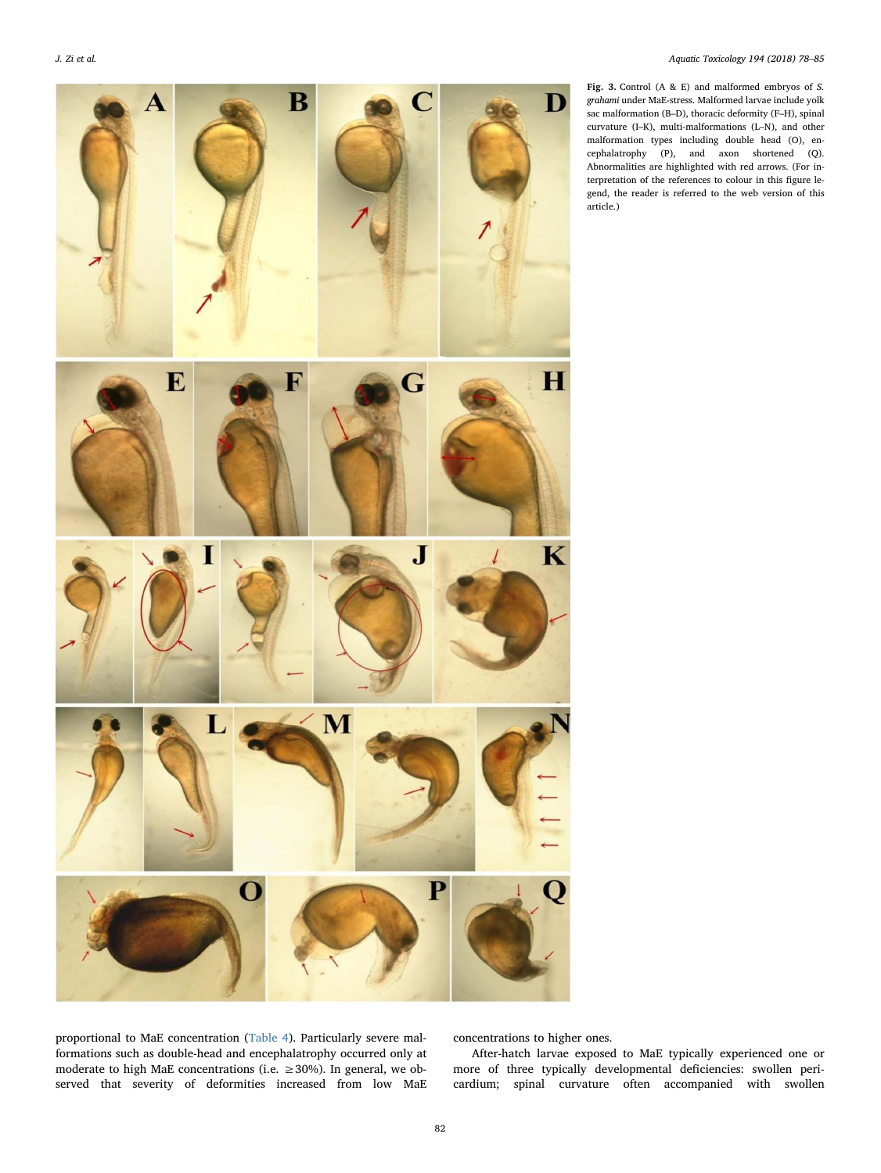<span id="page-4-0"></span>

Fig. 3. Control (A & E) and malformed embryos of S. grahami under MaE-stress. Malformed larvae include yolk sac malformation (B–D), thoracic deformity (F–H), spinal curvature (I–K), multi-malformations (L–N), and other malformation types including double head (O), encephalatrophy (P), and axon shortened (Q). Abnormalities are highlighted with red arrows. (For interpretation of the references to colour in this figure legend, the reader is referred to the web version of this article.)

proportional to MaE concentration [\(Table 4](#page-3-2)). Particularly severe malformations such as double-head and encephalatrophy occurred only at moderate to high MaE concentrations (i.e. ≥30%). In general, we observed that severity of deformities increased from low MaE concentrations to higher ones.

After-hatch larvae exposed to MaE typically experienced one or more of three typically developmental deficiencies: swollen pericardium; spinal curvature often accompanied with swollen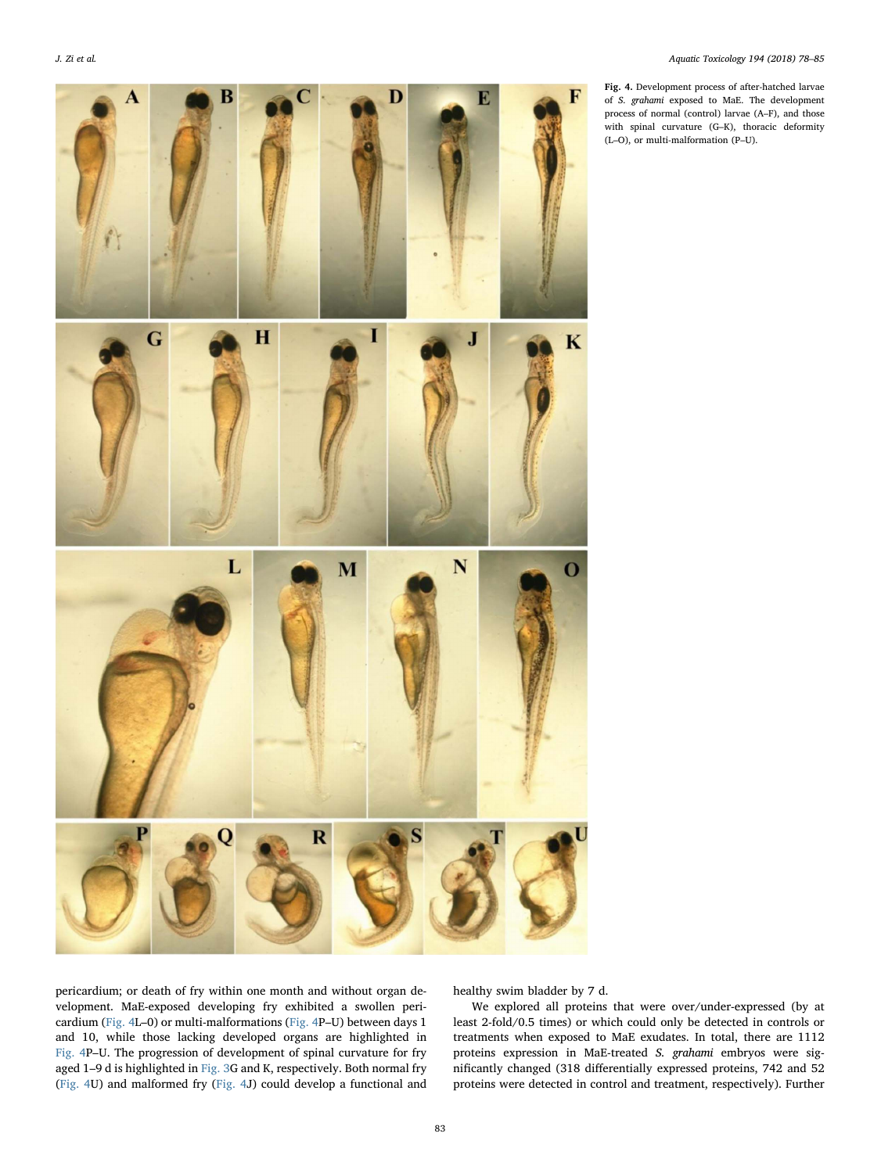<span id="page-5-0"></span>

Fig. 4. Development process of after-hatched larvae of S. grahami exposed to MaE. The development process of normal (control) larvae (A–F), and those with spinal curvature (G–K), thoracic deformity (L–O), or multi-malformation (P–U).

pericardium; or death of fry within one month and without organ development. MaE-exposed developing fry exhibited a swollen pericardium ([Fig. 4](#page-5-0)L–0) or multi-malformations ([Fig. 4](#page-5-0)P–U) between days 1 and 10, while those lacking developed organs are highlighted in [Fig. 4](#page-5-0)P–U. The progression of development of spinal curvature for fry aged 1–9 d is highlighted in [Fig. 3G](#page-4-0) and K, respectively. Both normal fry ([Fig. 4](#page-5-0)U) and malformed fry [\(Fig. 4J](#page-5-0)) could develop a functional and healthy swim bladder by 7 d.

We explored all proteins that were over/under-expressed (by at least 2-fold/0.5 times) or which could only be detected in controls or treatments when exposed to MaE exudates. In total, there are 1112 proteins expression in MaE-treated S. grahami embryos were significantly changed (318 differentially expressed proteins, 742 and 52 proteins were detected in control and treatment, respectively). Further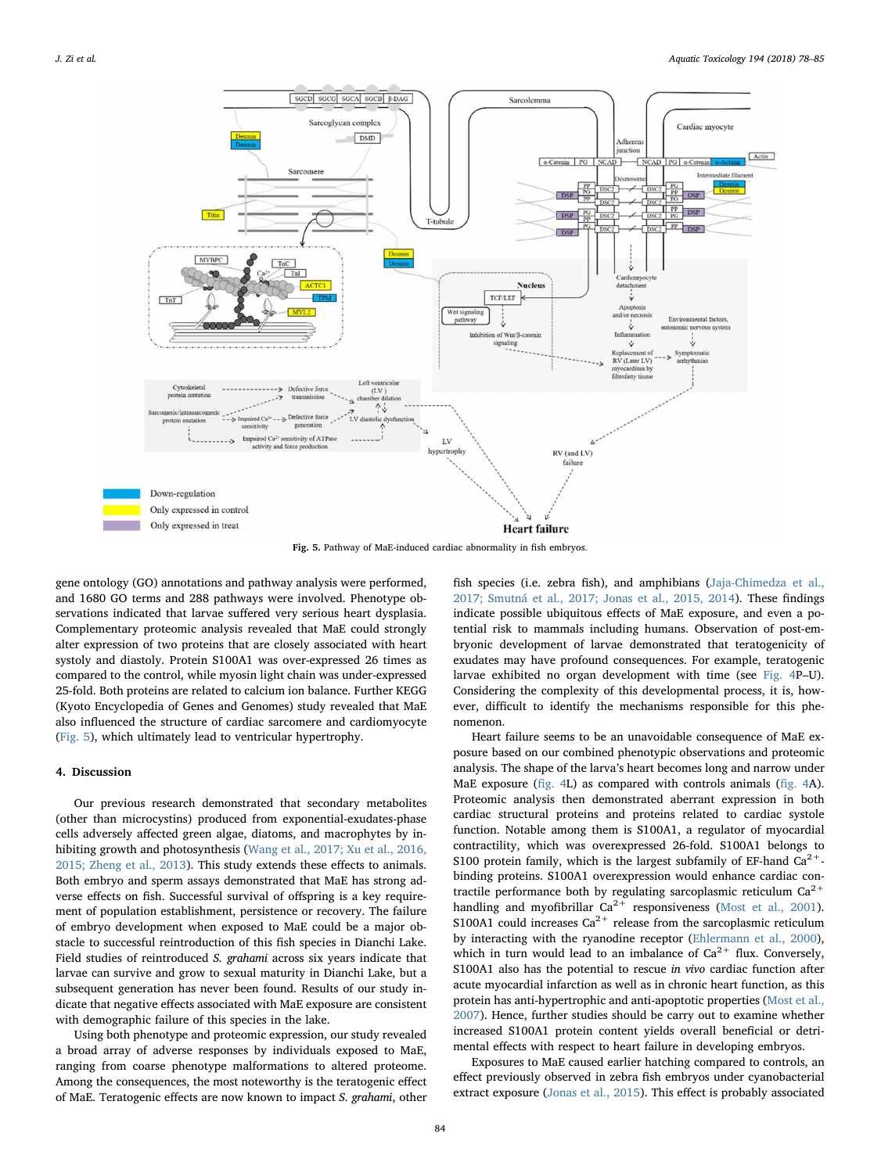<span id="page-6-0"></span>

Fig. 5. Pathway of MaE-induced cardiac abnormality in fish embryos.

gene ontology (GO) annotations and pathway analysis were performed, and 1680 GO terms and 288 pathways were involved. Phenotype observations indicated that larvae suffered very serious heart dysplasia. Complementary proteomic analysis revealed that MaE could strongly alter expression of two proteins that are closely associated with heart systoly and diastoly. Protein S100A1 was over-expressed 26 times as compared to the control, while myosin light chain was under-expressed 25-fold. Both proteins are related to calcium ion balance. Further KEGG (Kyoto Encyclopedia of Genes and Genomes) study revealed that MaE also influenced the structure of cardiac sarcomere and cardiomyocyte ([Fig. 5\)](#page-6-0), which ultimately lead to ventricular hypertrophy.

#### 4. Discussion

Our previous research demonstrated that secondary metabolites (other than microcystins) produced from exponential-exudates-phase cells adversely affected green algae, diatoms, and macrophytes by inhibiting growth and photosynthesis ([Wang et al., 2017; Xu et al., 2016,](#page-7-5) [2015; Zheng et al., 2013\)](#page-7-5). This study extends these effects to animals. Both embryo and sperm assays demonstrated that MaE has strong adverse effects on fish. Successful survival of offspring is a key requirement of population establishment, persistence or recovery. The failure of embryo development when exposed to MaE could be a major obstacle to successful reintroduction of this fish species in Dianchi Lake. Field studies of reintroduced S. grahami across six years indicate that larvae can survive and grow to sexual maturity in Dianchi Lake, but a subsequent generation has never been found. Results of our study indicate that negative effects associated with MaE exposure are consistent with demographic failure of this species in the lake.

Using both phenotype and proteomic expression, our study revealed a broad array of adverse responses by individuals exposed to MaE, ranging from coarse phenotype malformations to altered proteome. Among the consequences, the most noteworthy is the teratogenic effect of MaE. Teratogenic effects are now known to impact S. grahami, other

fish species (i.e. zebra fish), and amphibians [\(Jaja-Chimedza et al.,](#page-7-21) [2017; Smutná et al., 2017; Jonas et al., 2015, 2014](#page-7-21)). These findings indicate possible ubiquitous effects of MaE exposure, and even a potential risk to mammals including humans. Observation of post-embryonic development of larvae demonstrated that teratogenicity of exudates may have profound consequences. For example, teratogenic larvae exhibited no organ development with time (see [Fig. 4](#page-5-0)P–U). Considering the complexity of this developmental process, it is, however, difficult to identify the mechanisms responsible for this phenomenon.

Heart failure seems to be an unavoidable consequence of MaE exposure based on our combined phenotypic observations and proteomic analysis. The shape of the larva's heart becomes long and narrow under MaE exposure (fi[g. 4](#page-5-0)L) as compared with controls animals (fi[g. 4](#page-5-0)A). Proteomic analysis then demonstrated aberrant expression in both cardiac structural proteins and proteins related to cardiac systole function. Notable among them is S100A1, a regulator of myocardial contractility, which was overexpressed 26-fold. S100A1 belongs to S100 protein family, which is the largest subfamily of EF-hand  $Ca^{2+}$ binding proteins. S100A1 overexpression would enhance cardiac contractile performance both by regulating sarcoplasmic reticulum  $Ca^{2+}$ handling and myofibrillar  $Ca^{2+}$  responsiveness [\(Most et al., 2001](#page-7-22)). S100A1 could increases  $Ca^{2+}$  release from the sarcoplasmic reticulum by interacting with the ryanodine receptor ([Ehlermann et al., 2000](#page-7-23)), which in turn would lead to an imbalance of  $Ca^{2+}$  flux. Conversely, S100A1 also has the potential to rescue in vivo cardiac function after acute myocardial infarction as well as in chronic heart function, as this protein has anti-hypertrophic and anti-apoptotic properties ([Most et al.,](#page-7-24) [2007\)](#page-7-24). Hence, further studies should be carry out to examine whether increased S100A1 protein content yields overall beneficial or detrimental effects with respect to heart failure in developing embryos.

Exposures to MaE caused earlier hatching compared to controls, an effect previously observed in zebra fish embryos under cyanobacterial extract exposure [\(Jonas et al., 2015\)](#page-7-25). This effect is probably associated